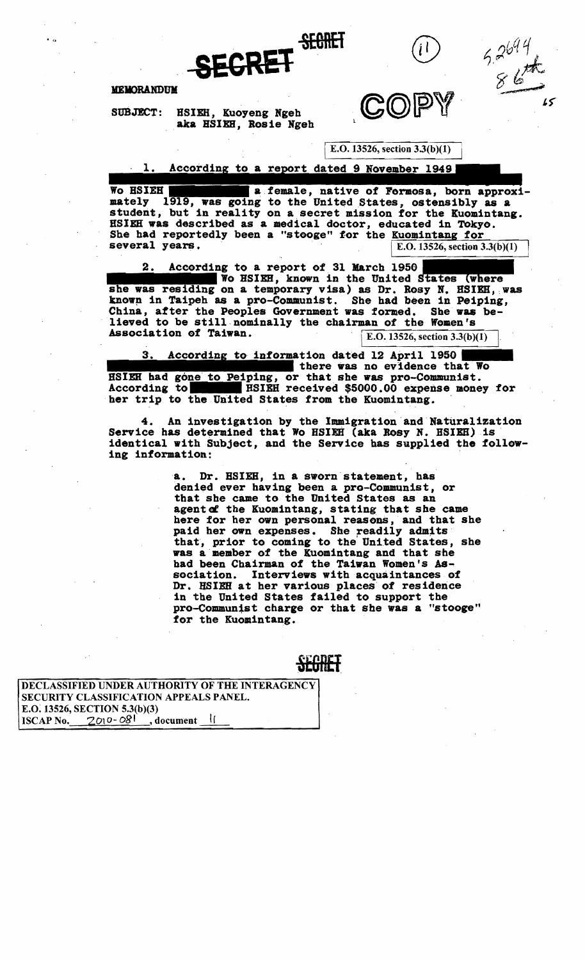

 $5.2697$ 



## **MEMORANDUM**

SUBJECT: HSIEH, Kuoyeng Ngeh aka HSIEH, Rosie Ngeh

IE.O. 13526, section 3.3(b)(I)

 $\cdot$  1. According to a report dated 9 November 1949

Wo HSIEH **a.female, native of Formosa, born approximately** 1919, was going to the United States, ostensibly as a student, but in reality on a secret mission for the Kuomintang. HSIEH was described as a medical doctor, educated in TOkyo. She had reportedly been a "stooge" for the Kuomintang for sue had reportedly been a stooge for the  $\frac{\text{Kdomining for}}{\text{E.O. 13526, section 3.3(b)(1)}}$ on for the Kuomintang.<br>
educated in Tokyo.<br>
e Kuomintang for<br>
E.O. 13526, section 3.3(b)(1)<br>
h 1950<br>
inited States (where<br>
Dr. Rosy N. HSIEH, was<br>
had been in Deining

2. According to a report of 31 March 1950 III. According to a report of 31 March 1950 III III Wo HSIEH, known in the United States (where she was residing on a temporary visa) as Dr. Rosy N. HSIEH, was Wo HSIEH, known in the United known in Taipeh as a pro-Communist. She had been in Peiping, China, after the Peoples Government was formed. She was believed to be still·nominally the chairman of the Women's Association of Taiwan.  $\begin{array}{|l|l|} \hline \text{Esociation of Taiwan.} \end{array}$   $\begin{array}{|l|l|} \hline \text{E.O.13526, section 3.3(b)(1)} \end{array}$ 

iping, or that she was pro-Communist. 3. According to information dated 12 April 1950 there was no evidence that Wo According to HSIEH received \$5000.00 expense money for her trip to the United States from the Kuomintang.

4. An investigation by the Immigration and Naturalization Service has determined that Wo HSIEH (aka Rosy N. HSIEH) is identical with Subject, and the Service has supplied the following information:

> a. Dr. BSIEH, in a sworn statement, has denied ever having been a pro-Communist, or that she came to the United States as an agent of the Kuomintang, stating that she came here for her own personal reasons, and that she paid her own expenses. She readily admits that, prior to coming to the United States, she was a member of tbe Kuomintang and that sbe had been Chairman of the Taiwan Women's Association. Interviews with acquaintances of Dr. HSIEH at her various places of residence in the United states failed to support the pro-Communist charge or that she was a "stooge" for the Kuomintang.

> > SEBHET

DECLASSIFIED UNDER AUTHORITY OF THE INTERAGENCY SECURITY CLASSIFICATION APPEALS PANEL. E.O. 13526, SECTION 5.3(b)(3)<br>ISCAP No.  $2010 - 08$ <sup>1</sup>, document ISCAP No.  $2010-08$ <sup>1</sup>, document II